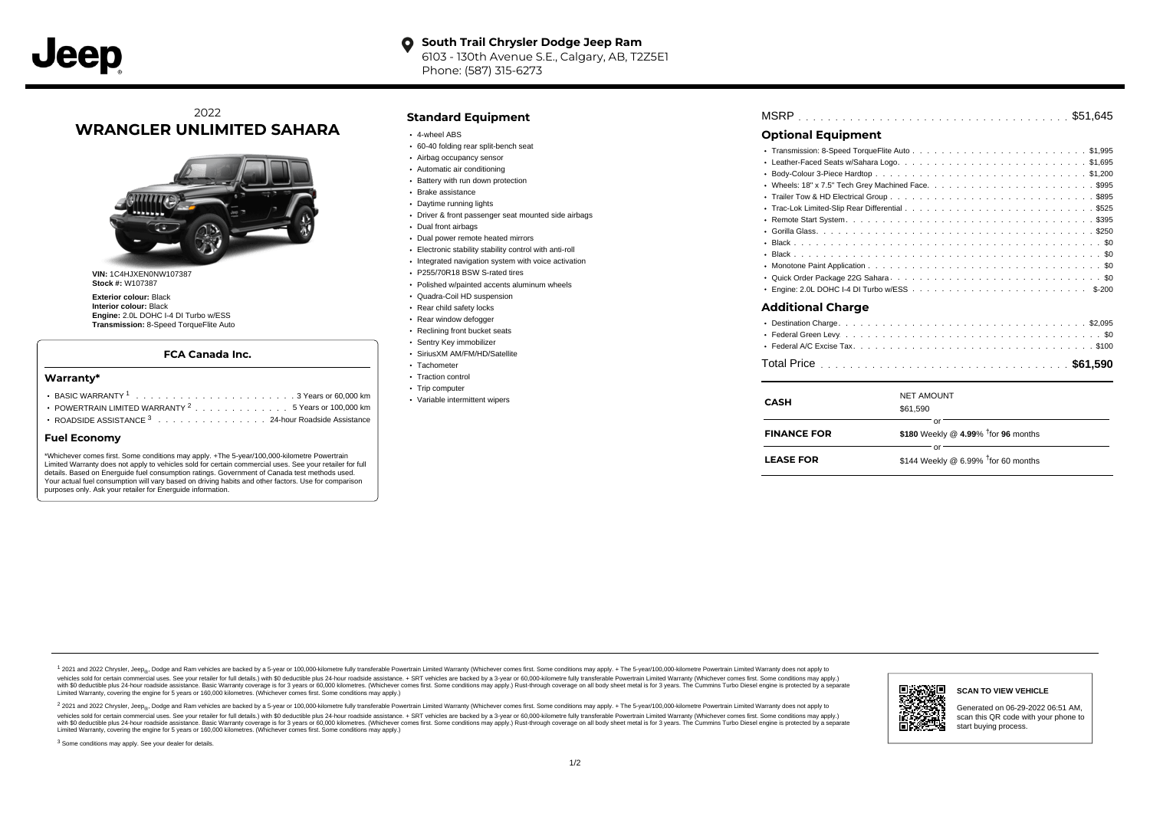#### **South Trail Chrysler Dodge Jeep Ram**  $\bullet$ 6103 - 130th Avenue S.E., Calgary, AB, T2Z5E1 Phone: (587) 315-6273

# 2022 **WRANGLER UNLIMITED SAHARA**



**VIN:** 1C4HJXEN0NW107387 **Stock #:** W107387

**Exterior colour:** Black **Interior colour:** Black **Engine:** 2.0L DOHC I-4 DI Turbo w/ESS **Transmission:** 8-Speed TorqueFlite Auto

### **FCA Canada Inc.**

#### **Warranty\***

| • POWERTRAIN LIMITED WARRANTY <sup>2</sup> 5 Years or 100,000 km |  |
|------------------------------------------------------------------|--|
| ROADSIDE ASSISTANCE 3 24-hour Roadside Assistance                |  |

#### **Fuel Economy**

\*Whichever comes first. Some conditions may apply. +The 5-year/100,000-kilometre Powertrain Limited Warranty does not apply to vehicles sold for certain commercial uses. See your retailer for full details. Based on Energuide fuel consumption ratings. Government of Canada test methods used. Your actual fuel consumption will vary based on driving habits and other factors. Use for comparison purposes only. Ask your retailer for Energuide information.

#### **Standard Equipment**

- 4-wheel ABS
- 60-40 folding rear split-bench seat
- Airbag occupancy sensor
- Automatic air conditioning
- Battery with run down protection
- Brake assistance
- Daytime running lights Driver & front passenger seat mounted side airbags
- Dual front airbags
- Dual power remote heated mirrors
- Electronic stability stability control with anti-roll
- Integrated navigation system with voice activation
- P255/70R18 BSW S-rated tires
- Polished w/painted accents aluminum wheels
- Quadra-Coil HD suspension
- Rear child safety locks
- Rear window defogger
- Reclining front bucket seats
- Sentry Key immobilizer
- SiriusXM AM/FM/HD/Satellite
- Tachometer
- Traction control • Trip computer
- Variable intermittent wipers

|--|--|--|--|--|--|--|--|--|--|--|--|--|--|--|--|--|--|--|--|--|--|--|--|--|--|--|--|--|--|--|--|--|--|--|--|--|--|--|--|--|--|--|

## **Optional Equipment**

| $\bullet$<br>٠           |
|--------------------------|
| <b>Additional Charge</b> |

| <b>CASH</b>        | <b>NET AMOUNT</b><br>\$61.590                |
|--------------------|----------------------------------------------|
| <b>FINANCE FOR</b> | or<br>\$180 Weekly @ 4.99% $†$ for 96 months |
| <b>LEASE FOR</b>   | or<br>\$144 Weekly @ 6.99% $†$ for 60 months |

. . . . . . . . . . . . . . . . . . . . . . . . . . . . . . . . . . . . . . . . . . . . . . Total Price **\$61,590**

1 2021 and 2022 Chrysler, Jeep<sub>en</sub> Dodge and Ram vehicles are backed by a 5-year or 100,000-kilometre fully transferable Powertrain Limited Warranty (Whichever comes first. Some conditions may apply. + The 5-year/100,000-k vehicles sold for certain commercial uses. See your retailer for full details.) with \$0 deductible plus 24-hour roadside assistance. + SRT vehicles are backed by a 3-year or 60,000-kilometre fully transferable Powertrain L ventals and contract when the contract when the contract you contract when the contract when the control of the set of a set of a set of a set of 3 years of 60,000 kilometres. Whichever comes first. Some conditions may app Limited Warranty, covering the engine for 5 years or 160,000 kilometres. (Whichever comes first. Some conditions may apply.)

<sup>2</sup> 2021 and 2022 Chrysler, Jeep<sub>®</sub>, Dodge and Ram vehicles are backed by a 5-year or 100,000-kilometre fully transferable Powertrain Limited Warranty (Whichever comes first. Some conditions may apply. + The 5-year/100,000 vehicles sold for certain commercial uses. See your retailer for full details.) with SO deductible plus 24-hour roadside assistance. + SRT vehicles are backed by a 3-year or 60.000-kilometre fully transferable Powertrain L with S0 deductible plus 24-hour roadside assistance. Basic Warranty coverage is for 3 years or 60,000 kilometres. (Whichever comes first. Some conditions may apply.) Rust-through coverage on all body sheet metal is for 3 y

<sup>3</sup> Some conditions may apply. See your dealer for details.



Generated on 06-29-2022 06:51 AM, scan this QR code with your phone to start buying process.